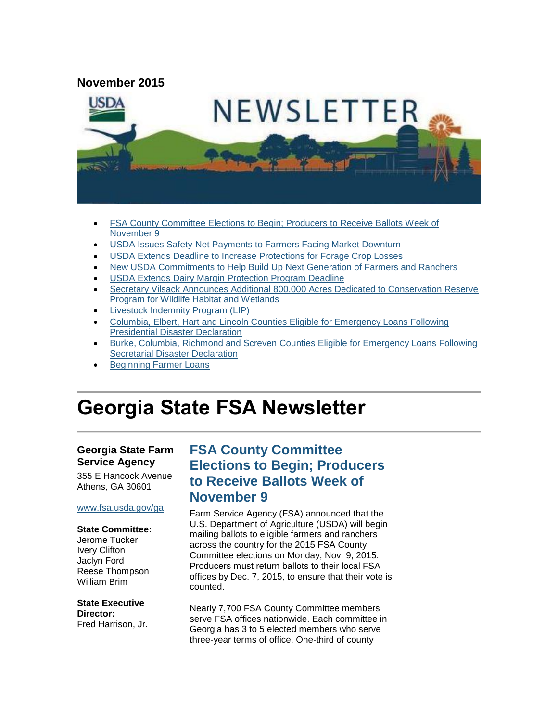#### **November 2015**



- [FSA County Committee Elections to Begin; Producers to Receive Ballots Week of](#page-0-0)  [November 9](#page-0-0)
- [USDA Issues Safety-Net Payments to Farmers Facing Market Downturn](#page-1-0)
- [USDA Extends Deadline to Increase Protections for Forage Crop Losses](#page-2-0)
- [New USDA Commitments to Help Build Up Next Generation of Farmers and Ranchers](#page-3-0)
- USDA Extends Dairy Margin [Protection Program Deadline](#page-3-1)
- [Secretary Vilsack Announces Additional 800,000 Acres Dedicated to Conservation Reserve](#page-4-0)  [Program for Wildlife Habitat and Wetlands](#page-4-0)
- [Livestock Indemnity Program \(LIP\)](#page-5-0)
- [Columbia, Elbert, Hart and Lincoln Counties Eligible for Emergency Loans Following](#page-5-1)  [Presidential Disaster Declaration](#page-5-1)
- Burke, Columbia, Richmond and Screven [Counties Eligible for Emergency Loans Following](#page-6-0)  [Secretarial Disaster Declaration](#page-6-0)
- [Beginning Farmer Loans](#page-6-1)

# **Georgia State FSA Newsletter**

#### **Georgia State Farm Service Agency**

355 E Hancock Avenue Athens, GA 30601

#### [www.fsa.usda.gov/ga](http://www.fsa.usda.gov/ga)

#### **State Committee:**

Jerome Tucker Ivery Clifton Jaclyn Ford Reese Thompson William Brim

#### **State Executive**

**Director:** Fred Harrison, Jr.

### <span id="page-0-0"></span>**FSA County Committee Elections to Begin; Producers to Receive Ballots Week of November 9**

Farm Service Agency (FSA) announced that the U.S. Department of Agriculture (USDA) will begin mailing ballots to eligible farmers and ranchers across the country for the 2015 FSA County Committee elections on Monday, Nov. 9, 2015. Producers must return ballots to their local FSA offices by Dec. 7, 2015, to ensure that their vote is counted.

Nearly 7,700 FSA County Committee members serve FSA offices nationwide. Each committee in Georgia has 3 to 5 elected members who serve three-year terms of office. One-third of county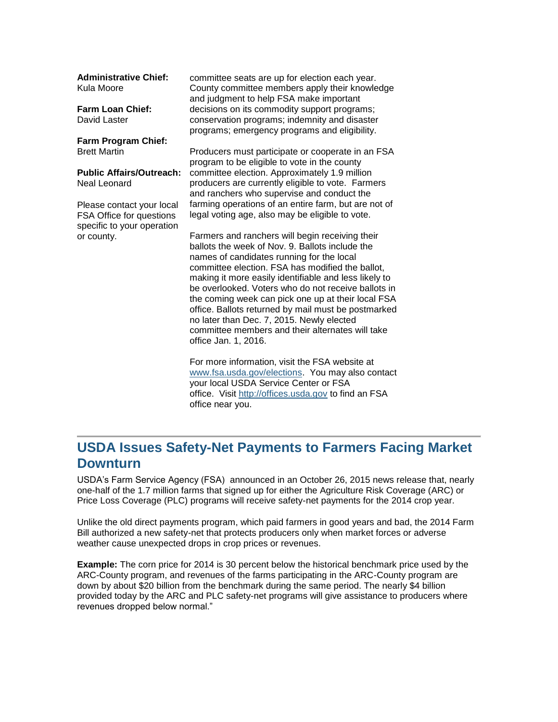**Administrative Chief:** Kula Moore

**Farm Loan Chief:** David Laster

**Farm Program Chief:** Brett Martin

**Public Affairs/Outreach:** Neal Leonard

Please contact your local FSA Office for questions specific to your operation or county.

committee seats are up for election each year. County committee members apply their knowledge and judgment to help FSA make important decisions on its commodity support programs; conservation programs; indemnity and disaster programs; emergency programs and eligibility.

Producers must participate or cooperate in an FSA program to be eligible to vote in the county committee election. Approximately 1.9 million producers are currently eligible to vote. Farmers and ranchers who supervise and conduct the farming operations of an entire farm, but are not of legal voting age, also may be eligible to vote.

Farmers and ranchers will begin receiving their ballots the week of Nov. 9. Ballots include the names of candidates running for the local committee election. FSA has modified the ballot, making it more easily identifiable and less likely to be overlooked. Voters who do not receive ballots in the coming week can pick one up at their local FSA office. Ballots returned by mail must be postmarked no later than Dec. 7, 2015. Newly elected committee members and their alternates will take office Jan. 1, 2016.

For more information, visit the FSA website at [www.fsa.usda.gov/elections.](http://www.fsa.usda.gov/elections) You may also contact your local USDA Service Center or FSA office. Visit [http://offices.usda.gov](http://offices.usda.gov/) to find an FSA office near you.

# <span id="page-1-0"></span>**USDA Issues Safety-Net Payments to Farmers Facing Market Downturn**

USDA's Farm Service Agency (FSA) announced in an October 26, 2015 news release that, nearly one-half of the 1.7 million farms that signed up for either the Agriculture Risk Coverage (ARC) or Price Loss Coverage (PLC) programs will receive safety-net payments for the 2014 crop year.

Unlike the old direct payments program, which paid farmers in good years and bad, the 2014 Farm Bill authorized a new safety-net that protects producers only when market forces or adverse weather cause unexpected drops in crop prices or revenues.

**Example:** The corn price for 2014 is 30 percent below the historical benchmark price used by the ARC-County program, and revenues of the farms participating in the ARC-County program are down by about \$20 billion from the benchmark during the same period. The nearly \$4 billion provided today by the ARC and PLC safety-net programs will give assistance to producers where revenues dropped below normal."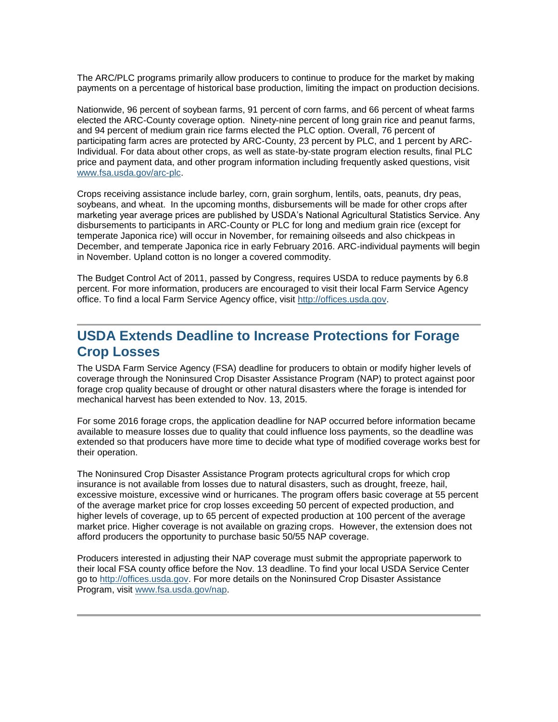The ARC/PLC programs primarily allow producers to continue to produce for the market by making payments on a percentage of historical base production, limiting the impact on production decisions.

Nationwide, 96 percent of soybean farms, 91 percent of corn farms, and 66 percent of wheat farms elected the ARC-County coverage option. Ninety-nine percent of long grain rice and peanut farms, and 94 percent of medium grain rice farms elected the PLC option. Overall, 76 percent of participating farm acres are protected by ARC-County, 23 percent by PLC, and 1 percent by ARC-Individual. For data about other crops, as well as state-by-state program election results, final PLC price and payment data, and other program information including frequently asked questions, visit [www.fsa.usda.gov/arc-plc.](http://www.fsa.usda.gov/arc-plc)

Crops receiving assistance include barley, corn, grain sorghum, lentils, oats, peanuts, dry peas, soybeans, and wheat. In the upcoming months, disbursements will be made for other crops after marketing year average prices are published by USDA's National Agricultural Statistics Service. Any disbursements to participants in ARC-County or PLC for long and medium grain rice (except for temperate Japonica rice) will occur in November, for remaining oilseeds and also chickpeas in December, and temperate Japonica rice in early February 2016. ARC-individual payments will begin in November. Upland cotton is no longer a covered commodity.

The Budget Control Act of 2011, passed by Congress, requires USDA to reduce payments by 6.8 percent. For more information, producers are encouraged to visit their local Farm Service Agency office. To find a local Farm Service Agency office, visit [http://offices.usda.gov.](http://offices.usda.gov/)

### <span id="page-2-0"></span>**USDA Extends Deadline to Increase Protections for Forage Crop Losses**

The USDA Farm Service Agency (FSA) deadline for producers to obtain or modify higher levels of coverage through the Noninsured Crop Disaster Assistance Program (NAP) to protect against poor forage crop quality because of drought or other natural disasters where the forage is intended for mechanical harvest has been extended to Nov. 13, 2015.

For some 2016 forage crops, the application deadline for NAP occurred before information became available to measure losses due to quality that could influence loss payments, so the deadline was extended so that producers have more time to decide what type of modified coverage works best for their operation.

The Noninsured Crop Disaster Assistance Program protects agricultural crops for which crop insurance is not available from losses due to natural disasters, such as drought, freeze, hail, excessive moisture, excessive wind or hurricanes. The program offers basic coverage at 55 percent of the average market price for crop losses exceeding 50 percent of expected production, and higher levels of coverage, up to 65 percent of expected production at 100 percent of the average market price. Higher coverage is not available on grazing crops. However, the extension does not afford producers the opportunity to purchase basic 50/55 NAP coverage.

Producers interested in adjusting their NAP coverage must submit the appropriate paperwork to their local FSA county office before the Nov. 13 deadline. To find your local USDA Service Center go to [http://offices.usda.gov.](http://offices.usda.gov/) For more details on the Noninsured Crop Disaster Assistance Program, visit [www.fsa.usda.gov/nap.](http://www.fsa.usda.gov/nap)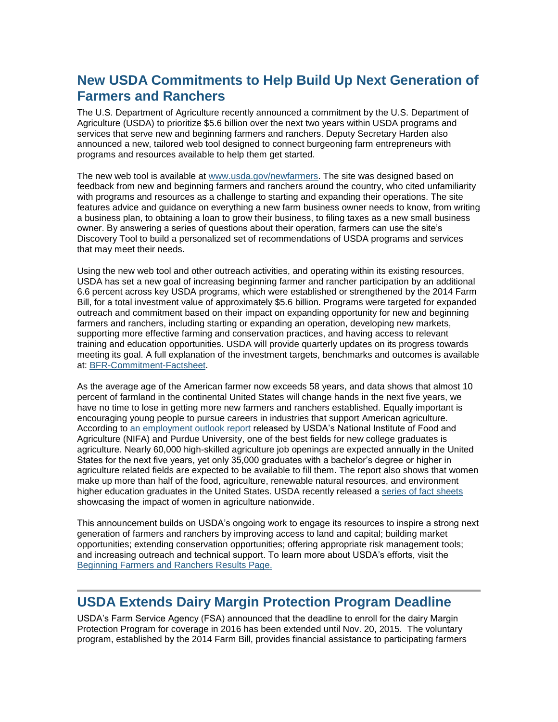# <span id="page-3-0"></span>**New USDA Commitments to Help Build Up Next Generation of Farmers and Ranchers**

The U.S. Department of Agriculture recently announced a commitment by the U.S. Department of Agriculture (USDA) to prioritize \$5.6 billion over the next two years within USDA programs and services that serve new and beginning farmers and ranchers. Deputy Secretary Harden also announced a new, tailored web tool designed to connect burgeoning farm entrepreneurs with programs and resources available to help them get started.

The new web tool is available at [www.usda.gov/newfarmers.](http://links.govdelivery.com/track?type=click&enid=ZWFzPTEmbWFpbGluZ2lkPTIwMTUxMDI5LjUwODE5NzUxJm1lc3NhZ2VpZD1NREItUFJELUJVTC0yMDE1MTAyOS41MDgxOTc1MSZkYXRhYmFzZWlkPTEwMDEmc2VyaWFsPTE3NDkwNTQ0JmVtYWlsaWQ9cmFjaGFlbC5kdWJpbnNreUBvYy51c2RhLmdvdiZ1c2VyaWQ9cmFjaGFlbC5kdWJpbnNreUBvYy51c2RhLmdvdiZmbD0mZXh0cmE9TXVsdGl2YXJpYXRlSWQ9JiYm&&&101&&&http://www.usda.gov/newfarmers) The site was designed based on feedback from new and beginning farmers and ranchers around the country, who cited unfamiliarity with programs and resources as a challenge to starting and expanding their operations. The site features advice and guidance on everything a new farm business owner needs to know, from writing a business plan, to obtaining a loan to grow their business, to filing taxes as a new small business owner. By answering a series of questions about their operation, farmers can use the site's Discovery Tool to build a personalized set of recommendations of USDA programs and services that may meet their needs.

Using the new web tool and other outreach activities, and operating within its existing resources, USDA has set a new goal of increasing beginning farmer and rancher participation by an additional 6.6 percent across key USDA programs, which were established or strengthened by the 2014 Farm Bill, for a total investment value of approximately \$5.6 billion. Programs were targeted for expanded outreach and commitment based on their impact on expanding opportunity for new and beginning farmers and ranchers, including starting or expanding an operation, developing new markets, supporting more effective farming and conservation practices, and having access to relevant training and education opportunities. USDA will provide quarterly updates on its progress towards meeting its goal. A full explanation of the investment targets, benchmarks and outcomes is available at: [BFR-Commitment-Factsheet.](http://links.govdelivery.com/track?type=click&enid=ZWFzPTEmbWFpbGluZ2lkPTIwMTUxMDI5LjUwODE5NzUxJm1lc3NhZ2VpZD1NREItUFJELUJVTC0yMDE1MTAyOS41MDgxOTc1MSZkYXRhYmFzZWlkPTEwMDEmc2VyaWFsPTE3NDkwNTQ0JmVtYWlsaWQ9cmFjaGFlbC5kdWJpbnNreUBvYy51c2RhLmdvdiZ1c2VyaWQ9cmFjaGFlbC5kdWJpbnNreUBvYy51c2RhLmdvdiZmbD0mZXh0cmE9TXVsdGl2YXJpYXRlSWQ9JiYm&&&102&&&http://www.usda.gov/documents/BFR-Commitment-Factsheet-10-27-15.pdf)

As the average age of the American farmer now exceeds 58 years, and data shows that almost 10 percent of farmland in the continental United States will change hands in the next five years, we have no time to lose in getting more new farmers and ranchers established. Equally important is encouraging young people to pursue careers in industries that support American agriculture. According to [an employment outlook report](http://links.govdelivery.com/track?type=click&enid=ZWFzPTEmbWFpbGluZ2lkPTIwMTUxMDI5LjUwODE5NzUxJm1lc3NhZ2VpZD1NREItUFJELUJVTC0yMDE1MTAyOS41MDgxOTc1MSZkYXRhYmFzZWlkPTEwMDEmc2VyaWFsPTE3NDkwNTQ0JmVtYWlsaWQ9cmFjaGFlbC5kdWJpbnNreUBvYy51c2RhLmdvdiZ1c2VyaWQ9cmFjaGFlbC5kdWJpbnNreUBvYy51c2RhLmdvdiZmbD0mZXh0cmE9TXVsdGl2YXJpYXRlSWQ9JiYm&&&103&&&https://www.purdue.edu/usda/employment/) released by USDA's National Institute of Food and Agriculture (NIFA) and Purdue University, one of the best fields for new college graduates is agriculture. Nearly 60,000 high-skilled agriculture job openings are expected annually in the United States for the next five years, yet only 35,000 graduates with a bachelor's degree or higher in agriculture related fields are expected to be available to fill them. The report also shows that women make up more than half of the food, agriculture, renewable natural resources, and environment higher education graduates in the United States. USDA recently released a [series of fact sheets](http://links.govdelivery.com/track?type=click&enid=ZWFzPTEmbWFpbGluZ2lkPTIwMTUxMDI5LjUwODE5NzUxJm1lc3NhZ2VpZD1NREItUFJELUJVTC0yMDE1MTAyOS41MDgxOTc1MSZkYXRhYmFzZWlkPTEwMDEmc2VyaWFsPTE3NDkwNTQ0JmVtYWlsaWQ9cmFjaGFlbC5kdWJpbnNreUBvYy51c2RhLmdvdiZ1c2VyaWQ9cmFjaGFlbC5kdWJpbnNreUBvYy51c2RhLmdvdiZmbD0mZXh0cmE9TXVsdGl2YXJpYXRlSWQ9JiYm&&&104&&&http://www.usda.gov/wps/portal/usda/usdahome?contentid=women-in-ag.html) showcasing the impact of women in agriculture nationwide.

This announcement builds on USDA's ongoing work to engage its resources to inspire a strong next generation of farmers and ranchers by improving access to land and capital; building market opportunities; extending conservation opportunities; offering appropriate risk management tools; and increasing outreach and technical support. To learn more about USDA's efforts, visit the [Beginning Farmers and Ranchers Results Page.](http://links.govdelivery.com/track?type=click&enid=ZWFzPTEmbWFpbGluZ2lkPTIwMTUxMDI5LjUwODE5NzUxJm1lc3NhZ2VpZD1NREItUFJELUJVTC0yMDE1MTAyOS41MDgxOTc1MSZkYXRhYmFzZWlkPTEwMDEmc2VyaWFsPTE3NDkwNTQ0JmVtYWlsaWQ9cmFjaGFlbC5kdWJpbnNreUBvYy51c2RhLmdvdiZ1c2VyaWQ9cmFjaGFlbC5kdWJpbnNreUBvYy51c2RhLmdvdiZmbD0mZXh0cmE9TXVsdGl2YXJpYXRlSWQ9JiYm&&&105&&&http://www.usda.gov/wps/portal/usda/usdahome?contentidonly=true&contentid=usda-results-beginning-farmers.html) 

#### <span id="page-3-1"></span>**USDA Extends Dairy Margin Protection Program Deadline**

USDA's Farm Service Agency (FSA) announced that the deadline to enroll for the dairy Margin Protection Program for coverage in 2016 has been extended until Nov. 20, 2015. The voluntary program, established by the 2014 Farm Bill, provides financial assistance to participating farmers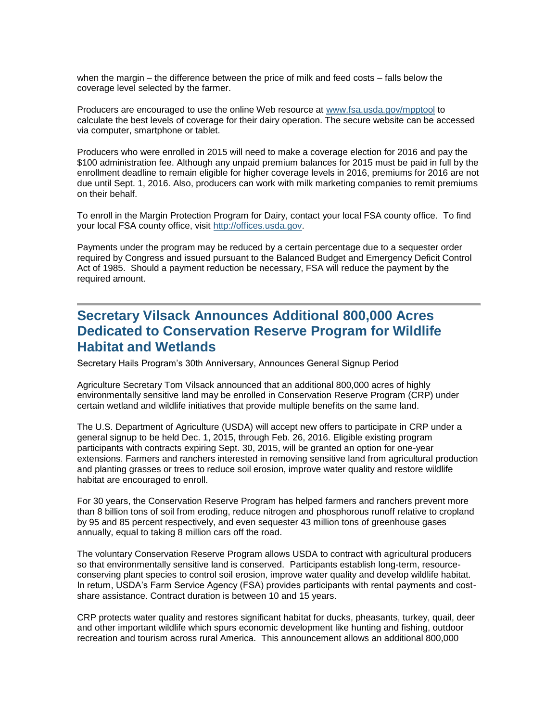when the margin – the difference between the price of milk and feed costs – falls below the coverage level selected by the farmer.

Producers are encouraged to use the online Web resource at [www.fsa.usda.gov/mpptool](http://links.govdelivery.com/track?type=click&enid=ZWFzPTEmbWFpbGluZ2lkPTIwMTQxMDI5LjM3NTc0NDkxJm1lc3NhZ2VpZD1NREItUFJELUJVTC0yMDE0MTAyOS4zNzU3NDQ5MSZkYXRhYmFzZWlkPTEwMDEmc2VyaWFsPTE3MTExNTIxJmVtYWlsaWQ9aXNhYmVsLmJlbmVtZWxpc0B3ZGMudXNkYS5nb3YmdXNlcmlkPWlzYWJlbC5iZW5lbWVsaXNAd2RjLnVzZGEuZ292JmZsPSZleHRyYT1NdWx0aXZhcmlhdGVJZD0mJiY=&&&101&&&http://www.fsa.usda.gov/mpptool) to calculate the best levels of coverage for their dairy operation. The secure website can be accessed via computer, smartphone or tablet.

Producers who were enrolled in 2015 will need to make a coverage election for 2016 and pay the \$100 administration fee. Although any unpaid premium balances for 2015 must be paid in full by the enrollment deadline to remain eligible for higher coverage levels in 2016, premiums for 2016 are not due until Sept. 1, 2016. Also, producers can work with milk marketing companies to remit premiums on their behalf.

To enroll in the Margin Protection Program for Dairy, contact your local FSA county office. To find your local FSA county office, visit [http://offices.usda.gov.](http://offices.usda.gov/)

Payments under the program may be reduced by a certain percentage due to a sequester order required by Congress and issued pursuant to the Balanced Budget and Emergency Deficit Control Act of 1985. Should a payment reduction be necessary, FSA will reduce the payment by the required amount.

### <span id="page-4-0"></span>**Secretary Vilsack Announces Additional 800,000 Acres Dedicated to Conservation Reserve Program for Wildlife Habitat and Wetlands**

Secretary Hails Program's 30th Anniversary, Announces General Signup Period

Agriculture Secretary Tom Vilsack announced that an additional 800,000 acres of highly environmentally sensitive land may be enrolled in Conservation Reserve Program (CRP) under certain wetland and wildlife initiatives that provide multiple benefits on the same land.

The U.S. Department of Agriculture (USDA) will accept new offers to participate in CRP under a general signup to be held Dec. 1, 2015, through Feb. 26, 2016. Eligible existing program participants with contracts expiring Sept. 30, 2015, will be granted an option for one-year extensions. Farmers and ranchers interested in removing sensitive land from agricultural production and planting grasses or trees to reduce soil erosion, improve water quality and restore wildlife habitat are encouraged to enroll.

For 30 years, the Conservation Reserve Program has helped farmers and ranchers prevent more than 8 billion tons of soil from eroding, reduce nitrogen and phosphorous runoff relative to cropland by 95 and 85 percent respectively, and even sequester 43 million tons of greenhouse gases annually, equal to taking 8 million cars off the road.

The voluntary Conservation Reserve Program allows USDA to contract with agricultural producers so that environmentally sensitive land is conserved. Participants establish long-term, resourceconserving plant species to control soil erosion, improve water quality and develop wildlife habitat. In return, USDA's Farm Service Agency (FSA) provides participants with rental payments and costshare assistance. Contract duration is between 10 and 15 years.

CRP protects water quality and restores significant habitat for ducks, pheasants, turkey, quail, deer and other important wildlife which spurs economic development like hunting and fishing, outdoor recreation and tourism across rural America. This announcement allows an additional 800,000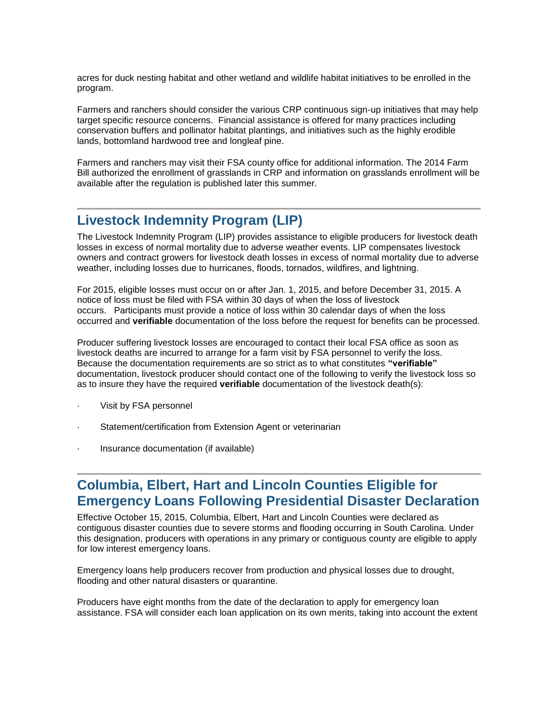acres for duck nesting habitat and other wetland and wildlife habitat initiatives to be enrolled in the program.

Farmers and ranchers should consider the various CRP continuous sign-up initiatives that may help target specific resource concerns. Financial assistance is offered for many practices including conservation buffers and pollinator habitat plantings, and initiatives such as the highly erodible lands, bottomland hardwood tree and longleaf pine.

Farmers and ranchers may visit their FSA county office for additional information. The 2014 Farm Bill authorized the enrollment of grasslands in CRP and information on grasslands enrollment will be available after the regulation is published later this summer.

### <span id="page-5-0"></span>**Livestock Indemnity Program (LIP)**

The Livestock Indemnity Program (LIP) provides assistance to eligible producers for livestock death losses in excess of normal mortality due to adverse weather events. LIP compensates livestock owners and contract growers for livestock death losses in excess of normal mortality due to adverse weather, including losses due to hurricanes, floods, tornados, wildfires, and lightning.

For 2015, eligible losses must occur on or after Jan. 1, 2015, and before December 31, 2015. A notice of loss must be filed with FSA within 30 days of when the loss of livestock occurs. Participants must provide a notice of loss within 30 calendar days of when the loss occurred and **verifiable** documentation of the loss before the request for benefits can be processed.

Producer suffering livestock losses are encouraged to contact their local FSA office as soon as livestock deaths are incurred to arrange for a farm visit by FSA personnel to verify the loss. Because the documentation requirements are so strict as to what constitutes **"verifiable"** documentation, livestock producer should contact one of the following to verify the livestock loss so as to insure they have the required **verifiable** documentation of the livestock death(s):

- Visit by FSA personnel
- Statement/certification from Extension Agent or veterinarian
- · Insurance documentation (if available)

### <span id="page-5-1"></span>**Columbia, Elbert, Hart and Lincoln Counties Eligible for Emergency Loans Following Presidential Disaster Declaration**

Effective October 15, 2015, Columbia, Elbert, Hart and Lincoln Counties were declared as contiguous disaster counties due to severe storms and flooding occurring in South Carolina. Under this designation, producers with operations in any primary or contiguous county are eligible to apply for low interest emergency loans.

Emergency loans help producers recover from production and physical losses due to drought, flooding and other natural disasters or quarantine.

Producers have eight months from the date of the declaration to apply for emergency loan assistance. FSA will consider each loan application on its own merits, taking into account the extent